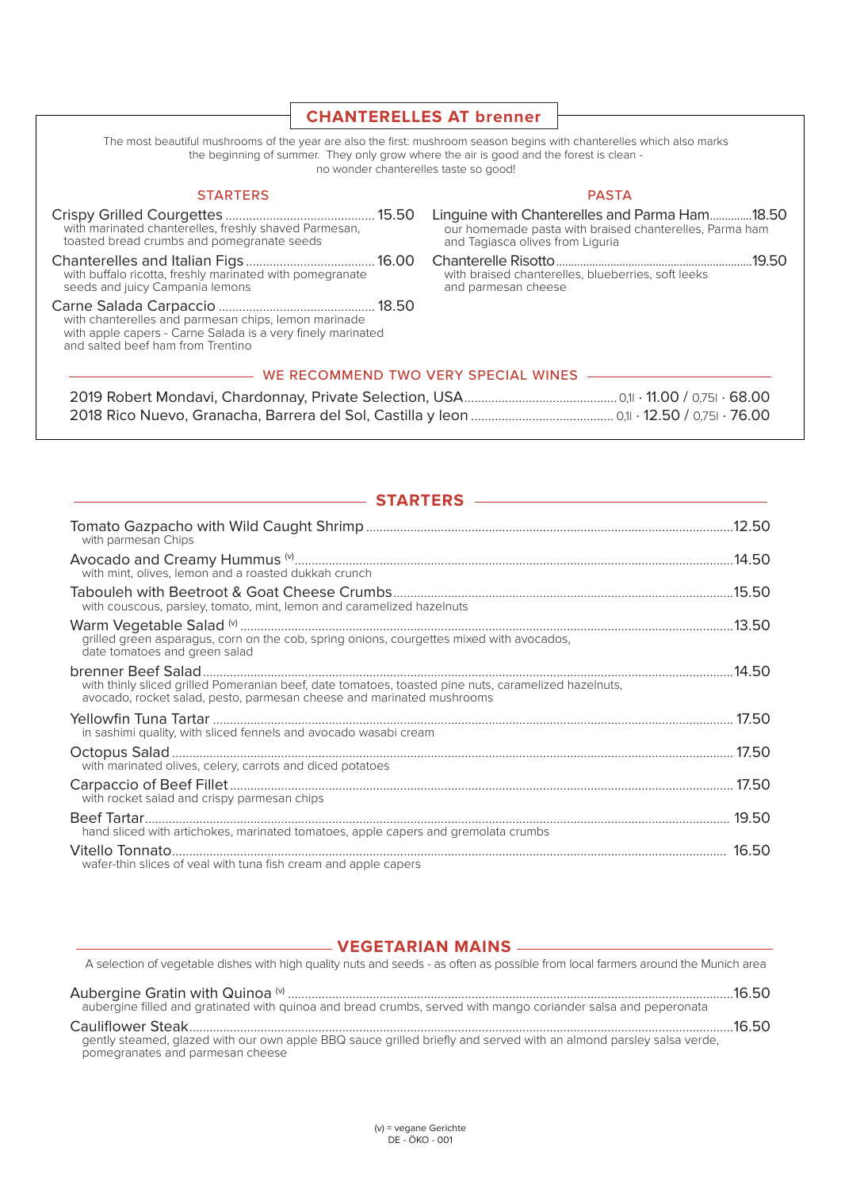## **CHANTERELLES AT brenner** The most beautiful mushrooms of the year are also the first: mushroom season begins with chanterelles which also marks

the beginning of summer. They only grow where the air is good and the forest is clean no wonder chanterelles taste so good! **STARTERS PASTA** Linquine with Chanterelles and Parma Ham..............18.50 with marinated chanterelles, freshly shaved Parmesan, our homemade pasta with braised chanterelles, Parma ham toasted bread crumbs and pomegranate seeds and Tagiasca olives from Liguria with buffalo ricotta, freshly marinated with pomegranate<br>seeds and juicy Campania lemons with braised chanterelles, blueberries, soft leeks and parmesan cheese with chanterelles and parmesan chips, lemon marinade with apple capers - Carne Salada is a very finely marinated and salted beef ham from Trentino - WE RECOMMEND TWO VERY SPECIAL WINES -

--------

| ———— SIARIERS ————                                                                                                                                                            |  |
|-------------------------------------------------------------------------------------------------------------------------------------------------------------------------------|--|
| with parmesan Chips                                                                                                                                                           |  |
| with mint, olives, lemon and a roasted dukkah crunch                                                                                                                          |  |
| with couscous, parsley, tomato, mint, lemon and caramelized hazelnuts                                                                                                         |  |
| grilled green asparagus, corn on the cob, spring onions, courgettes mixed with avocados,<br>date tomatoes and green salad                                                     |  |
| with thinly sliced grilled Pomeranian beef, date tomatoes, toasted pine nuts, caramelized hazelnuts,<br>avocado, rocket salad, pesto, parmesan cheese and marinated mushrooms |  |
| in sashimi quality, with sliced fennels and avocado wasabi cream                                                                                                              |  |
| with marinated olives, celery, carrots and diced potatoes                                                                                                                     |  |
| with rocket salad and crispy parmesan chips                                                                                                                                   |  |
| hand sliced with artichokes, marinated tomatoes, apple capers and gremolata crumbs                                                                                            |  |
| wafer-thin slices of veal with tuna fish cream and apple capers                                                                                                               |  |
|                                                                                                                                                                               |  |

## - VEGETARIAN MAINS -

A selection of vegetable dishes with high quality nuts and seeds - as often as possible from local farmers around the Munich area aubergine filled and gratinated with guinoa and bread crumbs, served with mango coriander salsa and peperonata gently steamed, glazed with our own apple BBQ sauce grilled briefly and served with an almond parsley salsa verde,